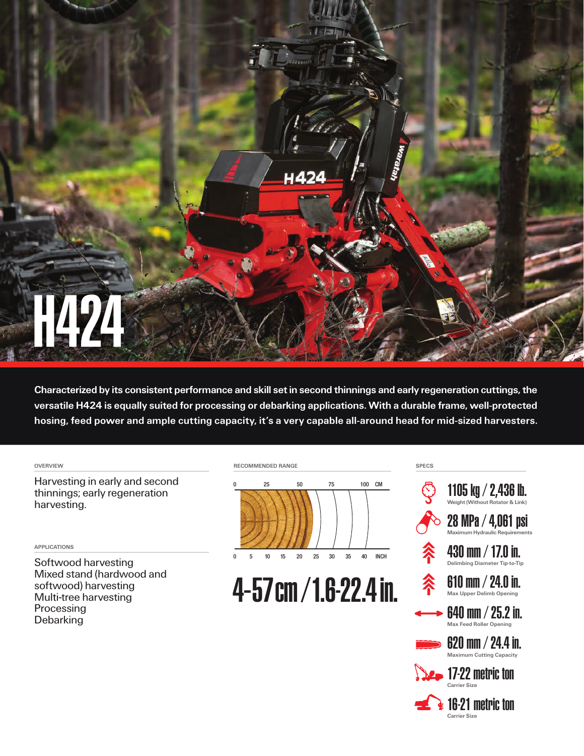

Characterized by its consistent performance and skill set in second thinnings and early regeneration cuttings, the versatile H424 is equally suited for processing or debarking applications. With a durable frame, well-protected hosing, feed power and ample cutting capacity, it's a very capable all-around head for mid-sized harvesters.

## OVERVIEW

Harvesting in early and second thinnings; early regeneration harvesting.

## APPLICATIONS

Softwood harvesting Mixed stand (hardwood and softwood) harvesting Multi-tree harvesting Processing **Debarking** 





4-57cm/1.6-22.4in.